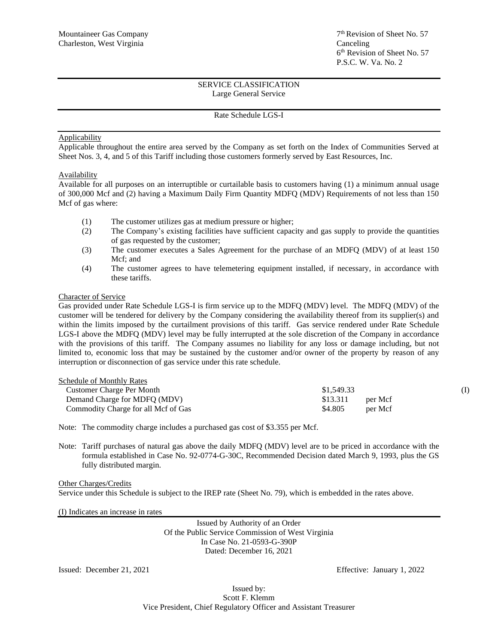## SERVICE CLASSIFICATION Large General Service

### Rate Schedule LGS-I

## Applicability

Applicable throughout the entire area served by the Company as set forth on the Index of Communities Served at Sheet Nos. 3, 4, and 5 of this Tariff including those customers formerly served by East Resources, Inc.

## **Availability**

Available for all purposes on an interruptible or curtailable basis to customers having (1) a minimum annual usage of 300,000 Mcf and (2) having a Maximum Daily Firm Quantity MDFQ (MDV) Requirements of not less than 150 Mcf of gas where:

- (1) The customer utilizes gas at medium pressure or higher;
- (2) The Company's existing facilities have sufficient capacity and gas supply to provide the quantities of gas requested by the customer;
- (3) The customer executes a Sales Agreement for the purchase of an MDFQ (MDV) of at least 150 Mcf; and
- (4) The customer agrees to have telemetering equipment installed, if necessary, in accordance with these tariffs.

#### Character of Service

Gas provided under Rate Schedule LGS-I is firm service up to the MDFQ (MDV) level. The MDFQ (MDV) of the customer will be tendered for delivery by the Company considering the availability thereof from its supplier(s) and within the limits imposed by the curtailment provisions of this tariff. Gas service rendered under Rate Schedule LGS-I above the MDFQ (MDV) level may be fully interrupted at the sole discretion of the Company in accordance with the provisions of this tariff. The Company assumes no liability for any loss or damage including, but not limited to, economic loss that may be sustained by the customer and/or owner of the property by reason of any interruption or disconnection of gas service under this rate schedule.

| Schedule of Monthly Rates           |                     |  |
|-------------------------------------|---------------------|--|
| Customer Charge Per Month           | \$1,549.33          |  |
| Demand Charge for MDFQ (MDV)        | \$13.311<br>per Mcf |  |
| Commodity Charge for all Mcf of Gas | \$4.805<br>per Mcf  |  |

Note: The commodity charge includes a purchased gas cost of \$3.355 per Mcf.

Note: Tariff purchases of natural gas above the daily MDFQ (MDV) level are to be priced in accordance with the formula established in Case No. 92-0774-G-30C, Recommended Decision dated March 9, 1993, plus the GS fully distributed margin.

Other Charges/Credits Service under this Schedule is subject to the IREP rate (Sheet No. 79), which is embedded in the rates above.

(I) Indicates an increase in rates

Issued by Authority of an Order Of the Public Service Commission of West Virginia In Case No. 21-0593-G-390P Dated: December 16, 2021

Issued: December 21, 2021 Effective: January 1, 2022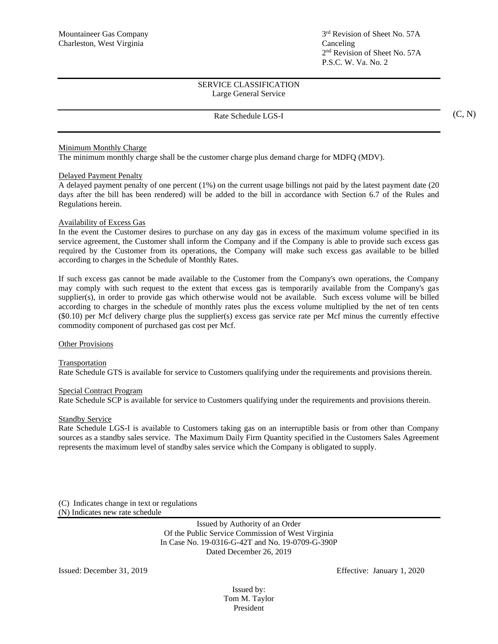## SERVICE CLASSIFICATION Large General Service

## Rate Schedule LGS-I

Minimum Monthly Charge

The minimum monthly charge shall be the customer charge plus demand charge for MDFQ (MDV).

#### Delayed Payment Penalty

A delayed payment penalty of one percent (1%) on the current usage billings not paid by the latest payment date (20 days after the bill has been rendered) will be added to the bill in accordance with Section 6.7 of the Rules and Regulations herein.

## Availability of Excess Gas

In the event the Customer desires to purchase on any day gas in excess of the maximum volume specified in its service agreement, the Customer shall inform the Company and if the Company is able to provide such excess gas required by the Customer from its operations, the Company will make such excess gas available to be billed according to charges in the Schedule of Monthly Rates.

If such excess gas cannot be made available to the Customer from the Company's own operations, the Company may comply with such request to the extent that excess gas is temporarily available from the Company's gas supplier(s), in order to provide gas which otherwise would not be available. Such excess volume will be billed according to charges in the schedule of monthly rates plus the excess volume multiplied by the net of ten cents (\$0.10) per Mcf delivery charge plus the supplier(s) excess gas service rate per Mcf minus the currently effective commodity component of purchased gas cost per Mcf.

#### Other Provisions

#### **Transportation**

Rate Schedule GTS is available for service to Customers qualifying under the requirements and provisions therein.

#### Special Contract Program

Rate Schedule SCP is available for service to Customers qualifying under the requirements and provisions therein.

#### Standby Service

Rate Schedule LGS-I is available to Customers taking gas on an interruptible basis or from other than Company sources as a standby sales service. The Maximum Daily Firm Quantity specified in the Customers Sales Agreement represents the maximum level of standby sales service which the Company is obligated to supply.

(C) Indicates change in text or regulations

(N) Indicates new rate schedule

Issued by Authority of an Order Of the Public Service Commission of West Virginia In Case No. 19-0316-G-42T and No. 19-0709-G-390P Dated December 26, 2019

Issued: December 31, 2019 Effective: January 1, 2020

Issued by: Tom M. Taylor President

(C, N)